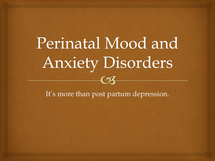### Perinatal Mood and **Anxiety Disorders**  $\epsilon$

It's more than post partum depression.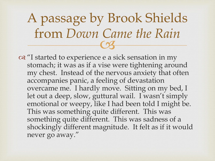$\overline{\text{C3}}$ A passage by Brook Shields from *Down Came the Rain* 

or "I started to experience e a sick sensation in my stomach; it was as if a vise were tightening around my chest. Instead of the nervous anxiety that often accompanies panic, a feeling of devastation overcame me. I hardly move. Sitting on my bed, I let out a deep, slow, guttural wail. I wasn't simply emotional or weepy, like I had been told I might be. This was something quite different. This was something quite different. This was sadness of a shockingly different magnitude. It felt as if it would never go away."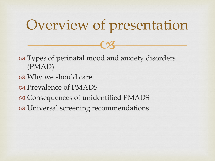#### Overview of presentation

 $C<sub>3</sub>$ 

 Types of perinatal mood and anxiety disorders (PMAD)

- or Why we should care
- os Prevalence of PMADS
- Consequences of unidentified PMADS
- Universal screening recommendations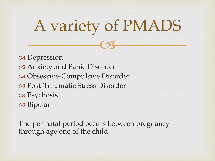## A variety of PMADS

 $C<sub>3</sub>$ 

os Depression Anxiety and Panic Disorder Obsessive-Compulsive Disorder Post-Traumatic Stress Disorder Psychosis a Bipolar

The perinatal period occurs between pregnancy through age one of the child.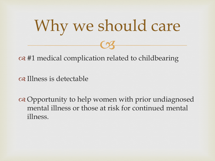

 $\infty$  #1 medical complication related to childbearing

Illness is detectable

 Opportunity to help women with prior undiagnosed mental illness or those at risk for continued mental illness.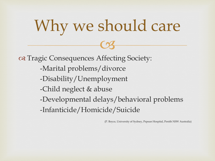# Why we should care

 $C<sub>3</sub>$ 

 Tragic Consequences Affecting Society: -Marital problems/divorce -Disability/Unemployment -Child neglect & abuse -Developmental delays/behavioral problems -Infanticide/Homicide/Suicide

(P. Boyce, University of Sydney, Pepean Hospital, Penith NSW Australia)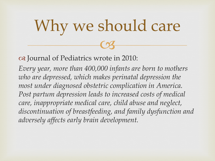## $C<sub>3</sub>$ Why we should care

Journal of Pediatrics wrote in 2010:

*Every year, more than 400,000 infants are born to mothers who are depressed, which makes perinatal depression the most under diagnosed obstetric complication in America.*  Post partum depression leads to increased costs of medical *care, inappropriate medical care, child abuse and neglect, discontinuation of breastfeeding, and family dysfunction and adversely affects early brain development.*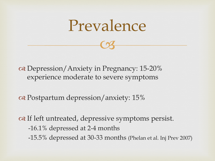

 $C<sub>3</sub>$ 

os Depression/Anxiety in Pregnancy: 15-20% experience moderate to severe symptoms

or Postpartum depression/anxiety: 15%

 $\infty$  If left untreated, depressive symptoms persist. -16.1% depressed at 2-4 months -15.5% depressed at 30-33 months (Phelan et al. Inj Prev 2007)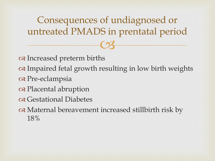os Increased preterm births or Impaired fetal growth resulting in low birth weights a Pre-eclampsia os Placental abruption Gestational Diabetes Maternal bereavement increased stillbirth risk by 18%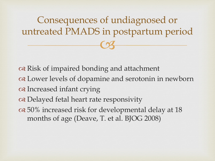or Risk of impaired bonding and attachment

 Lower levels of dopamine and serotonin in newborn on Increased infant crying

Delayed fetal heart rate responsivity

or 50% increased risk for developmental delay at 18 months of age (Deave, T. et al. BJOG 2008)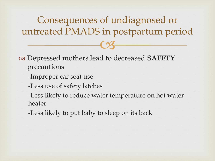Depressed mothers lead to decreased **SAFETY** precautions

- -Improper car seat use
- -Less use of safety latches

-Less likely to reduce water temperature on hot water heater

-Less likely to put baby to sleep on its back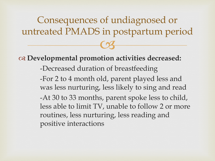**Developmental promotion activities decreased:** -Decreased duration of breastfeeding -For 2 to 4 month old, parent played less and was less nurturing, less likely to sing and read -At 30 to 33 months, parent spoke less to child, less able to limit TV, unable to follow 2 or more routines, less nurturing, less reading and positive interactions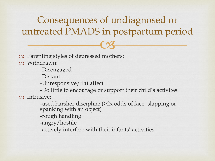Parenting styles of depressed mothers:

Withdrawn:

-Disengaged

-Distant

-Unresponsive/flat affect

-Do little to encourage or support their child's activites os Intrusive:

> -used harsher discipline (>2x odds of face slapping or spanking with an object)

-rough handling

-angry/hostile

-actively interfere with their infants' activities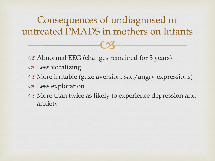$C<sub>3</sub>$ Consequences of undiagnosed or untreated PMADS in mothers on Infants

- Abnormal EEG (changes remained for 3 years)
- Less vocalizing
- More irritable (gaze aversion, sad/angry expressions)
- Less exploration
- More than twice as likely to experience depression and anxiety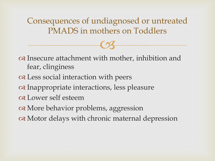Consequences of undiagnosed or untreated PMADS in mothers on Toddlers

 $C<sub>3</sub>$ 

 Insecure attachment with mother, inhibition and fear, clinginess Less social interaction with peers Inappropriate interactions, less pleasure Lower self esteem of More behavior problems, aggression or Motor delays with chronic maternal depression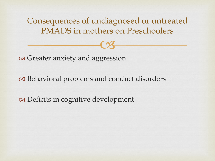Consequences of undiagnosed or untreated PMADS in mothers on Preschoolers

 $C<sub>3</sub>$ 

oral Greater anxiety and aggression

oral problems and conduct disorders

Deficits in cognitive development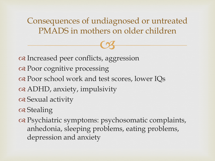Consequences of undiagnosed or untreated PMADS in mothers on older children

 $C<sub>3</sub>$ 

or Increased peer conflicts, aggression Poor cognitive processing or school work and test scores, lower IQs ADHD, anxiety, impulsivity Sexual activity os Stealing

 Psychiatric symptoms: psychosomatic complaints, anhedonia, sleeping problems, eating problems, depression and anxiety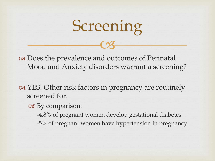

on Does the prevalence and outcomes of Perinatal Mood and Anxiety disorders warrant a screening?

or YES! Other risk factors in pregnancy are routinely screened for.

By comparison:

-4.8% of pregnant women develop gestational diabetes -5% of pregnant women have hypertension in pregnancy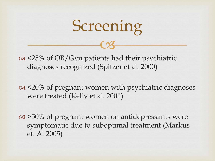

or <25% of OB/Gyn patients had their psychiatric diagnoses recognized (Spitzer et al. 2000)

 $\alpha$  <20% of pregnant women with psychiatric diagnoses were treated (Kelly et al. 2001)

 $\alpha$  >50% of pregnant women on antidepressants were symptomatic due to suboptimal treatment (Markus et. Al 2005)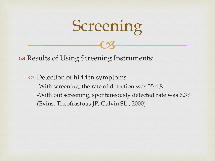

or Results of Using Screening Instruments:

 Detection of hidden symptoms -With screening, the rate of detection was 35.4% -With out screening, spontaneously detected rate was 6.3% (Evins, Theofrastous JP, Galvin SL., 2000)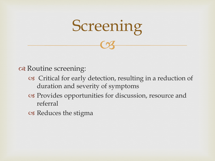

a Routine screening:

- Critical for early detection, resulting in a reduction of duration and severity of symptoms
- Provides opportunities for discussion, resource and referral
- Reduces the stigma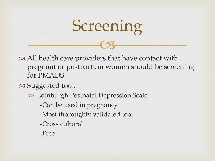

 All health care providers that have contact with pregnant or postpartum women should be screening for PMADS

Suggested tool:

Edinburgh Postnatal Depression Scale

-Can be used in pregnancy

-Most thoroughly validated tool

-Cross cultural

-Free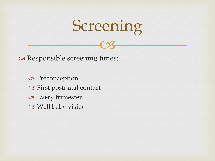

Responsible screening times:

os Preconception First postnatal contact Every trimester Well baby visits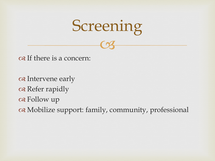

os If there is a concern:

os Intervene early os Refer rapidly os Follow up Mobilize support: family, community, professional